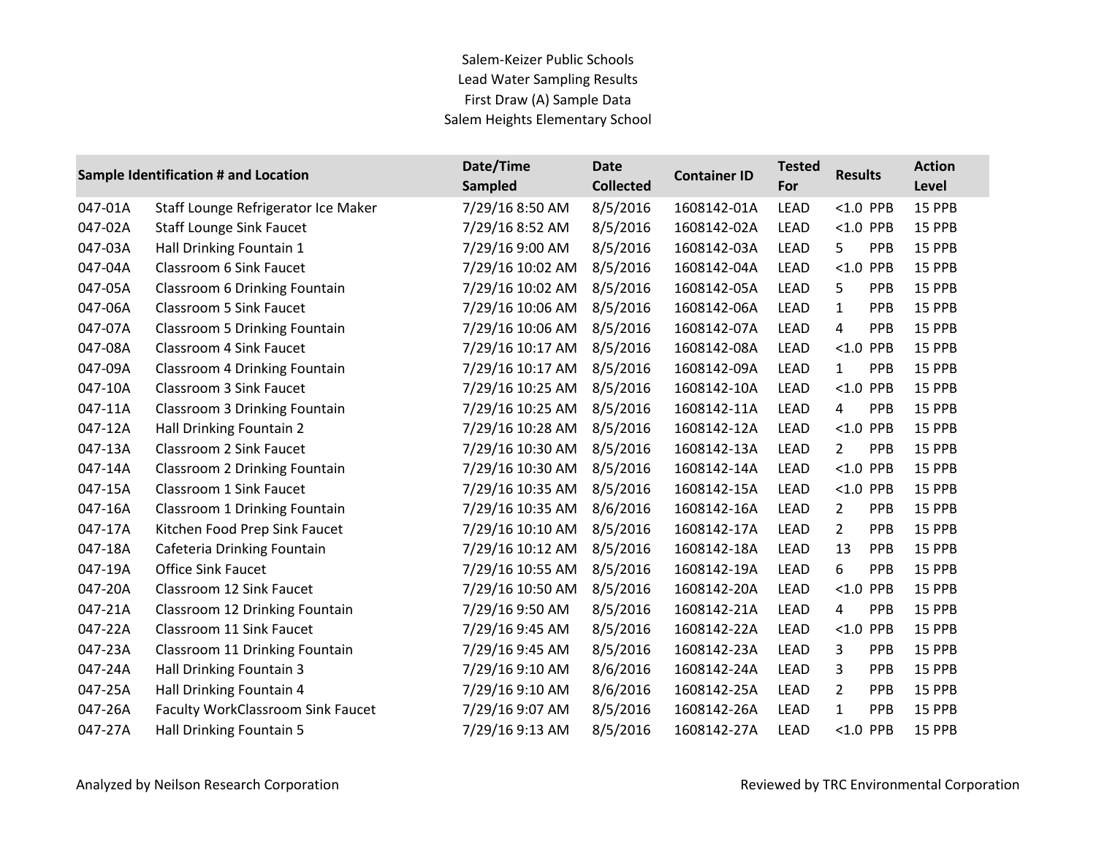## Salem-Keizer Public Schools Lead Water Sampling Results First Draw (A) Sample Data Salem Heights Elementary School

|         | Sample Identification # and Location     | Date/Time<br><b>Sampled</b> | <b>Date</b><br><b>Collected</b> | <b>Container ID</b> | <b>Tested</b><br>For | <b>Results</b>               | <b>Action</b><br>Level |
|---------|------------------------------------------|-----------------------------|---------------------------------|---------------------|----------------------|------------------------------|------------------------|
| 047-01A | Staff Lounge Refrigerator Ice Maker      | 7/29/16 8:50 AM             | 8/5/2016                        | 1608142-01A         | <b>LEAD</b>          | $< 1.0$ PPB                  | 15 PPB                 |
| 047-02A | <b>Staff Lounge Sink Faucet</b>          | 7/29/16 8:52 AM             | 8/5/2016                        | 1608142-02A         | LEAD                 | $< 1.0$ PPB                  | 15 PPB                 |
| 047-03A | Hall Drinking Fountain 1                 | 7/29/16 9:00 AM             | 8/5/2016                        | 1608142-03A         | <b>LEAD</b>          | PPB<br>5                     | 15 PPB                 |
| 047-04A | Classroom 6 Sink Faucet                  | 7/29/16 10:02 AM            | 8/5/2016                        | 1608142-04A         | <b>LEAD</b>          | $< 1.0$ PPB                  | 15 PPB                 |
| 047-05A | <b>Classroom 6 Drinking Fountain</b>     | 7/29/16 10:02 AM            | 8/5/2016                        | 1608142-05A         | LEAD                 | 5<br>PPB                     | 15 PPB                 |
| 047-06A | Classroom 5 Sink Faucet                  | 7/29/16 10:06 AM            | 8/5/2016                        | 1608142-06A         | LEAD                 | $\mathbf{1}$<br>PPB          | 15 PPB                 |
| 047-07A | <b>Classroom 5 Drinking Fountain</b>     | 7/29/16 10:06 AM            | 8/5/2016                        | 1608142-07A         | LEAD                 | PPB<br>4                     | 15 PPB                 |
| 047-08A | Classroom 4 Sink Faucet                  | 7/29/16 10:17 AM            | 8/5/2016                        | 1608142-08A         | LEAD                 | $< 1.0$ PPB                  | 15 PPB                 |
| 047-09A | <b>Classroom 4 Drinking Fountain</b>     | 7/29/16 10:17 AM            | 8/5/2016                        | 1608142-09A         | LEAD                 | $\mathbf{1}$<br>PPB          | 15 PPB                 |
| 047-10A | Classroom 3 Sink Faucet                  | 7/29/16 10:25 AM            | 8/5/2016                        | 1608142-10A         | <b>LEAD</b>          | $< 1.0$ PPB                  | 15 PPB                 |
| 047-11A | <b>Classroom 3 Drinking Fountain</b>     | 7/29/16 10:25 AM            | 8/5/2016                        | 1608142-11A         | LEAD                 | PPB<br>4                     | 15 PPB                 |
| 047-12A | Hall Drinking Fountain 2                 | 7/29/16 10:28 AM            | 8/5/2016                        | 1608142-12A         | LEAD                 | $< 1.0$ PPB                  | 15 PPB                 |
| 047-13A | Classroom 2 Sink Faucet                  | 7/29/16 10:30 AM            | 8/5/2016                        | 1608142-13A         | <b>LEAD</b>          | PPB<br>$2^{\circ}$           | 15 PPB                 |
| 047-14A | Classroom 2 Drinking Fountain            | 7/29/16 10:30 AM            | 8/5/2016                        | 1608142-14A         | LEAD                 | $< 1.0$ PPB                  | 15 PPB                 |
| 047-15A | Classroom 1 Sink Faucet                  | 7/29/16 10:35 AM            | 8/5/2016                        | 1608142-15A         | LEAD                 | $< 1.0$ PPB                  | 15 PPB                 |
| 047-16A | Classroom 1 Drinking Fountain            | 7/29/16 10:35 AM            | 8/6/2016                        | 1608142-16A         | LEAD                 | $\overline{2}$<br><b>PPB</b> | 15 PPB                 |
| 047-17A | Kitchen Food Prep Sink Faucet            | 7/29/16 10:10 AM            | 8/5/2016                        | 1608142-17A         | LEAD                 | $\overline{2}$<br>PPB        | 15 PPB                 |
| 047-18A | Cafeteria Drinking Fountain              | 7/29/16 10:12 AM            | 8/5/2016                        | 1608142-18A         | LEAD                 | 13<br>PPB                    | 15 PPB                 |
| 047-19A | <b>Office Sink Faucet</b>                | 7/29/16 10:55 AM            | 8/5/2016                        | 1608142-19A         | <b>LEAD</b>          | 6<br>PPB                     | 15 PPB                 |
| 047-20A | Classroom 12 Sink Faucet                 | 7/29/16 10:50 AM            | 8/5/2016                        | 1608142-20A         | LEAD                 | $< 1.0$ PPB                  | 15 PPB                 |
| 047-21A | Classroom 12 Drinking Fountain           | 7/29/16 9:50 AM             | 8/5/2016                        | 1608142-21A         | LEAD                 | PPB<br>4                     | 15 PPB                 |
| 047-22A | Classroom 11 Sink Faucet                 | 7/29/16 9:45 AM             | 8/5/2016                        | 1608142-22A         | <b>LEAD</b>          | $< 1.0$ PPB                  | 15 PPB                 |
| 047-23A | Classroom 11 Drinking Fountain           | 7/29/16 9:45 AM             | 8/5/2016                        | 1608142-23A         | LEAD                 | 3<br>PPB                     | 15 PPB                 |
| 047-24A | Hall Drinking Fountain 3                 | 7/29/16 9:10 AM             | 8/6/2016                        | 1608142-24A         | LEAD                 | 3<br><b>PPB</b>              | 15 PPB                 |
| 047-25A | Hall Drinking Fountain 4                 | 7/29/16 9:10 AM             | 8/6/2016                        | 1608142-25A         | LEAD                 | $\overline{2}$<br><b>PPB</b> | 15 PPB                 |
| 047-26A | <b>Faculty WorkClassroom Sink Faucet</b> | 7/29/16 9:07 AM             | 8/5/2016                        | 1608142-26A         | LEAD                 | 1<br>PPB                     | 15 PPB                 |
| 047-27A | Hall Drinking Fountain 5                 | 7/29/16 9:13 AM             | 8/5/2016                        | 1608142-27A         | <b>LEAD</b>          | $< 1.0$ PPB                  | 15 PPB                 |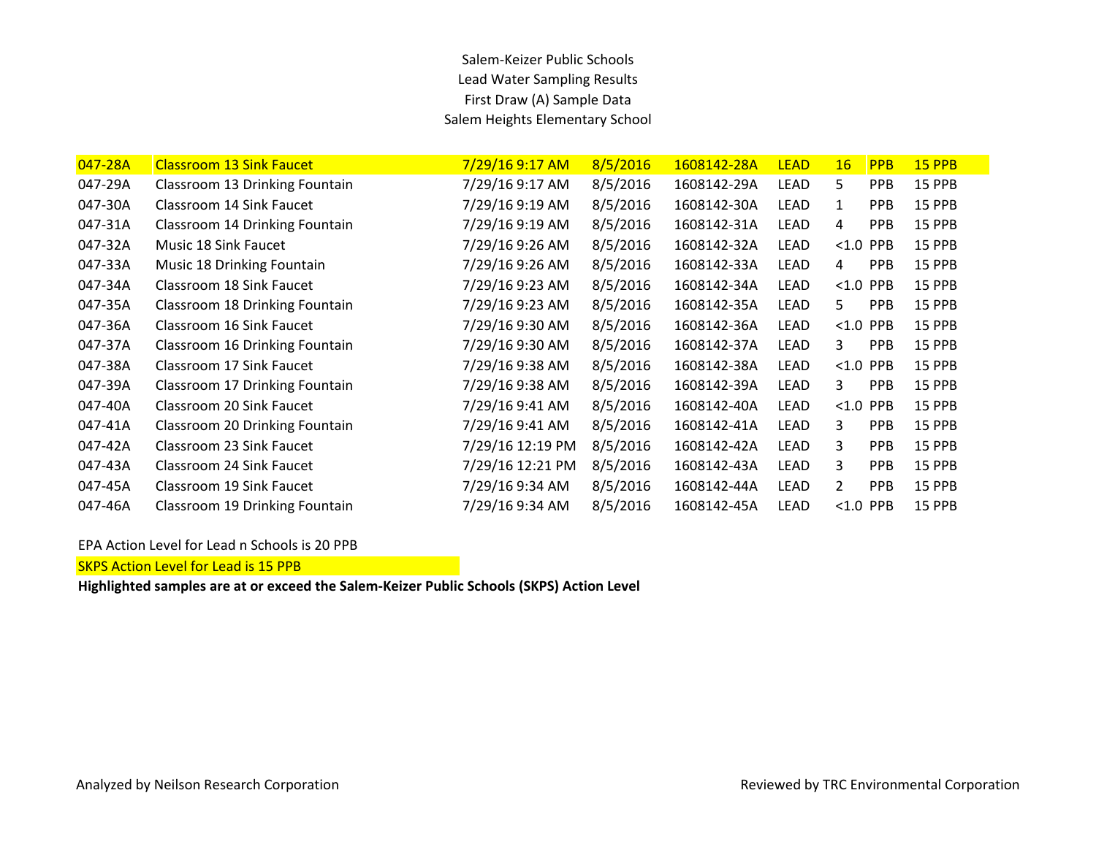## Salem-Keizer Public Schools Lead Water Sampling Results First Draw (A) Sample Data Salem Heights Elementary School

| 047-28A | <b>Classroom 13 Sink Faucet</b> | 7/29/16 9:17 AM  | 8/5/2016 | 1608142-28A | <b>LEAD</b> | 16             | <b>PPB</b> | <b>15 PPB</b> |
|---------|---------------------------------|------------------|----------|-------------|-------------|----------------|------------|---------------|
| 047-29A | Classroom 13 Drinking Fountain  | 7/29/16 9:17 AM  | 8/5/2016 | 1608142-29A | <b>LEAD</b> | 5              | <b>PPB</b> | 15 PPB        |
| 047-30A | Classroom 14 Sink Faucet        | 7/29/16 9:19 AM  | 8/5/2016 | 1608142-30A | <b>LEAD</b> | 1              | <b>PPB</b> | 15 PPB        |
| 047-31A | Classroom 14 Drinking Fountain  | 7/29/16 9:19 AM  | 8/5/2016 | 1608142-31A | <b>LEAD</b> | 4              | <b>PPB</b> | <b>15 PPB</b> |
| 047-32A | Music 18 Sink Faucet            | 7/29/16 9:26 AM  | 8/5/2016 | 1608142-32A | <b>LEAD</b> | < 1.0          | <b>PPB</b> | 15 PPB        |
| 047-33A | Music 18 Drinking Fountain      | 7/29/16 9:26 AM  | 8/5/2016 | 1608142-33A | <b>LEAD</b> | 4              | <b>PPB</b> | <b>15 PPB</b> |
| 047-34A | Classroom 18 Sink Faucet        | 7/29/16 9:23 AM  | 8/5/2016 | 1608142-34A | <b>LEAD</b> | < 1.0          | <b>PPB</b> | 15 PPB        |
| 047-35A | Classroom 18 Drinking Fountain  | 7/29/16 9:23 AM  | 8/5/2016 | 1608142-35A | <b>LEAD</b> | 5.             | <b>PPB</b> | 15 PPB        |
| 047-36A | Classroom 16 Sink Faucet        | 7/29/16 9:30 AM  | 8/5/2016 | 1608142-36A | <b>LEAD</b> | < 1.0          | <b>PPB</b> | 15 PPB        |
| 047-37A | Classroom 16 Drinking Fountain  | 7/29/16 9:30 AM  | 8/5/2016 | 1608142-37A | <b>LEAD</b> | 3              | <b>PPB</b> | 15 PPB        |
| 047-38A | Classroom 17 Sink Faucet        | 7/29/16 9:38 AM  | 8/5/2016 | 1608142-38A | <b>LEAD</b> | < 1.0          | <b>PPB</b> | 15 PPB        |
| 047-39A | Classroom 17 Drinking Fountain  | 7/29/16 9:38 AM  | 8/5/2016 | 1608142-39A | LEAD        | 3              | <b>PPB</b> | 15 PPB        |
| 047-40A | Classroom 20 Sink Faucet        | 7/29/16 9:41 AM  | 8/5/2016 | 1608142-40A | LEAD        | < 1.0          | <b>PPB</b> | 15 PPB        |
| 047-41A | Classroom 20 Drinking Fountain  | 7/29/16 9:41 AM  | 8/5/2016 | 1608142-41A | LEAD        | 3              | <b>PPB</b> | 15 PPB        |
| 047-42A | Classroom 23 Sink Faucet        | 7/29/16 12:19 PM | 8/5/2016 | 1608142-42A | LEAD        | 3              | <b>PPB</b> | 15 PPB        |
| 047-43A | Classroom 24 Sink Faucet        | 7/29/16 12:21 PM | 8/5/2016 | 1608142-43A | LEAD        | 3              | <b>PPB</b> | 15 PPB        |
| 047-45A | Classroom 19 Sink Faucet        | 7/29/16 9:34 AM  | 8/5/2016 | 1608142-44A | LEAD        | $\overline{2}$ | <b>PPB</b> | 15 PPB        |
| 047-46A | Classroom 19 Drinking Fountain  | 7/29/16 9:34 AM  | 8/5/2016 | 1608142-45A | <b>LEAD</b> | < 1.0          | <b>PPB</b> | 15 PPB        |

### EPA Action Level for Lead n Schools is 20 PPB

**SKPS Action Level for Lead is 15 PPB**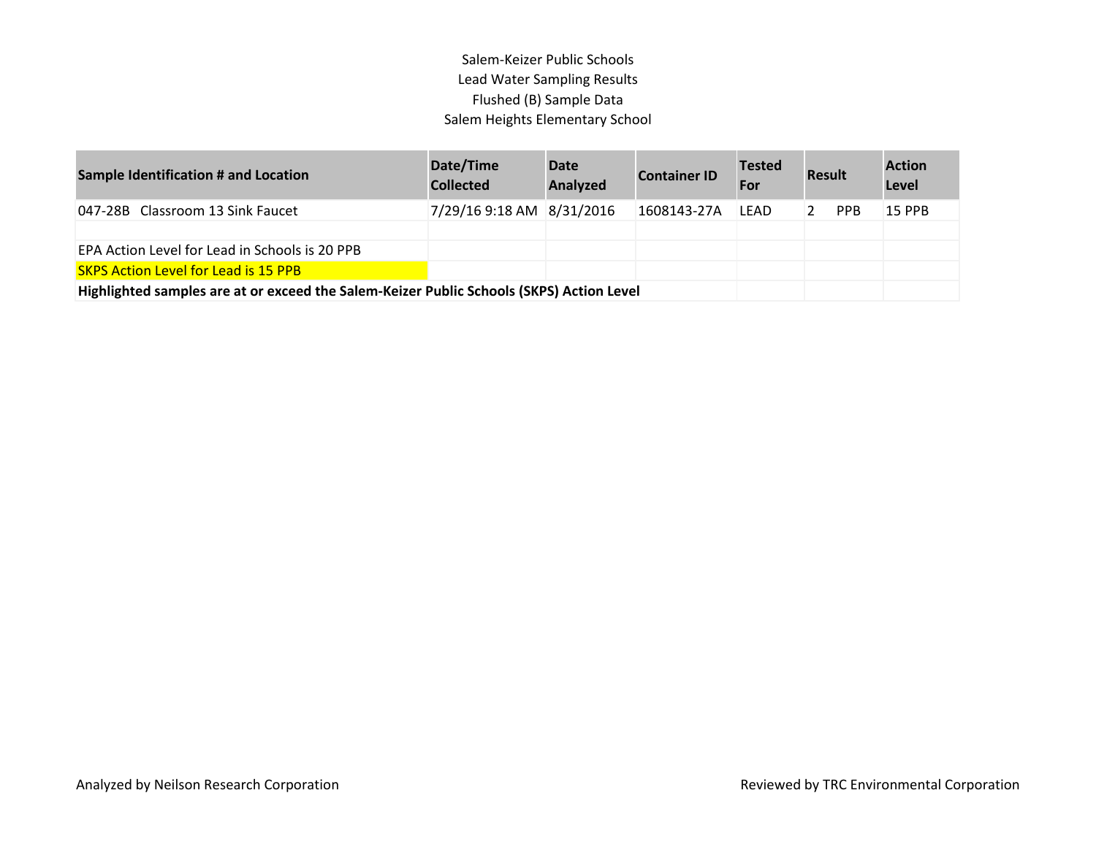## Salem-Keizer Public Schools Lead Water Sampling Results Flushed (B) Sample Data Salem Heights Elementary School

| <b>Sample Identification # and Location</b>                                              | Date/Time<br><b>Collected</b> | <b>Date</b><br>Analyzed | <b>Container ID</b> | <b>Tested</b><br>For | <b>Result</b>   | <b>Action</b><br>Level |
|------------------------------------------------------------------------------------------|-------------------------------|-------------------------|---------------------|----------------------|-----------------|------------------------|
| 047-28B Classroom 13 Sink Faucet                                                         | 7/29/16 9:18 AM 8/31/2016     |                         | 1608143-27A         | LEAD                 | <b>PPB</b><br>2 | 15 PPB                 |
|                                                                                          |                               |                         |                     |                      |                 |                        |
| EPA Action Level for Lead in Schools is 20 PPB                                           |                               |                         |                     |                      |                 |                        |
| <b>SKPS Action Level for Lead is 15 PPB</b>                                              |                               |                         |                     |                      |                 |                        |
| Highlighted samples are at or exceed the Salem-Keizer Public Schools (SKPS) Action Level |                               |                         |                     |                      |                 |                        |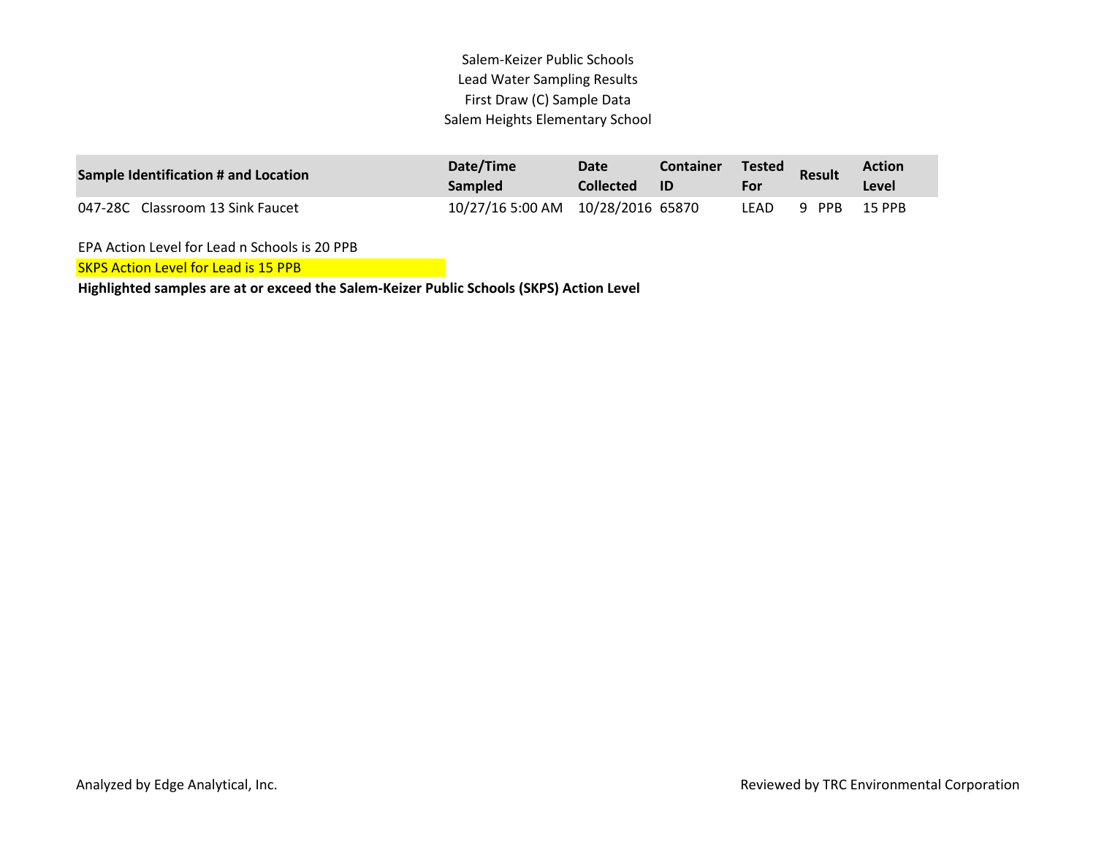Salem-Keizer Public Schools Lead Water Sampling Results First Draw (C) Sample Data Salem Heights Elementary School

| Sample Identification # and Location | Date/Time<br><b>Sampled</b>        | Date<br><b>Collected</b> | <b>Container</b><br>ID | <b>Tested</b><br>For | <b>Result</b> | <b>Action</b><br>Level |  |
|--------------------------------------|------------------------------------|--------------------------|------------------------|----------------------|---------------|------------------------|--|
| 047-28C Classroom 13 Sink Faucet     | 10/27/16 5:00 AM  10/28/2016 65870 |                          |                        | LEAD.                | 9 PPB         | 15 PPB                 |  |

EPA Action Level for Lead n Schools is 20 PPB

SKPS Action Level for Lead is 15 PPB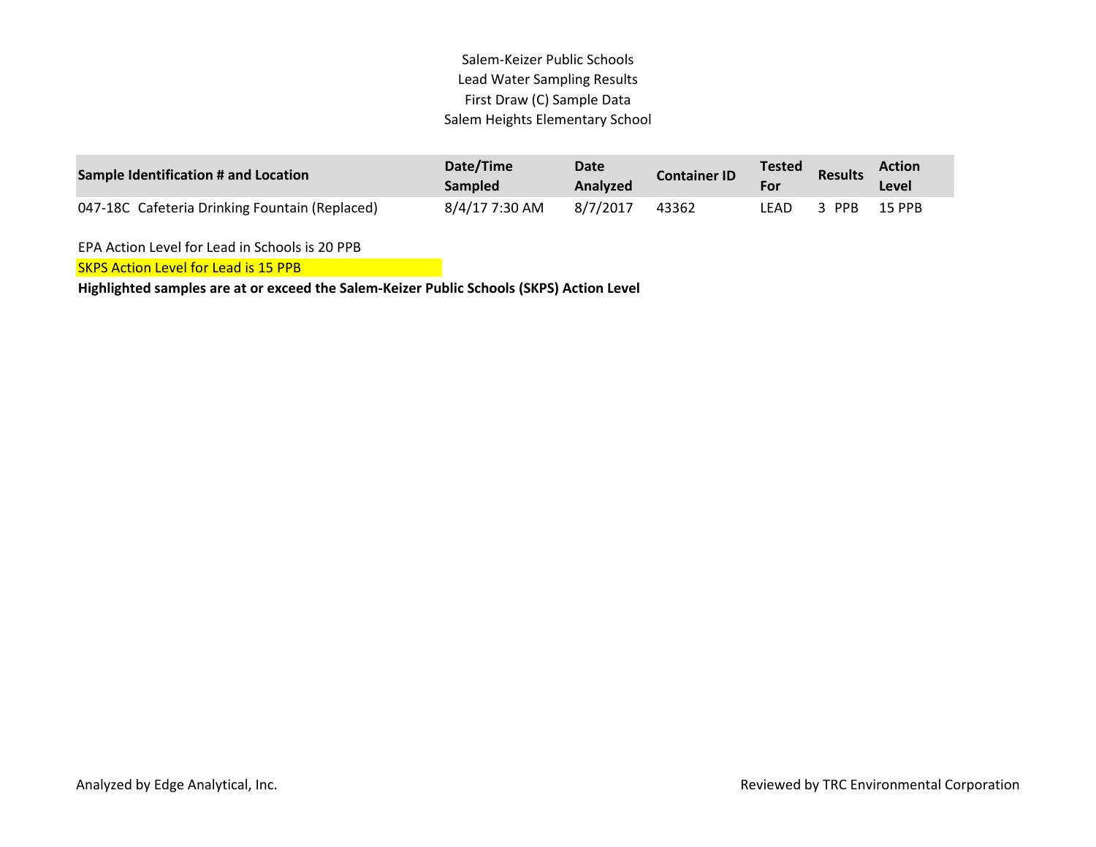Salem-Keizer Public Schools Lead Water Sampling Results First Draw (C) Sample Data Salem Heights Elementary School

| <b>Sample Identification # and Location</b>    | Date/Time<br><b>Sampled</b> | Date<br>Analyzed | <b>Container ID</b> | Tested<br>For | <b>Results</b> | <b>Action</b><br>Level |  |
|------------------------------------------------|-----------------------------|------------------|---------------------|---------------|----------------|------------------------|--|
| 047-18C Cafeteria Drinking Fountain (Replaced) | 8/4/17 7:30 AM              | 8/7/2017         | 43362               | LEAD          | 3 PPB          | 15 PPB                 |  |

EPA Action Level for Lead in Schools is 20 PPB

**SKPS Action Level for Lead is 15 PPB**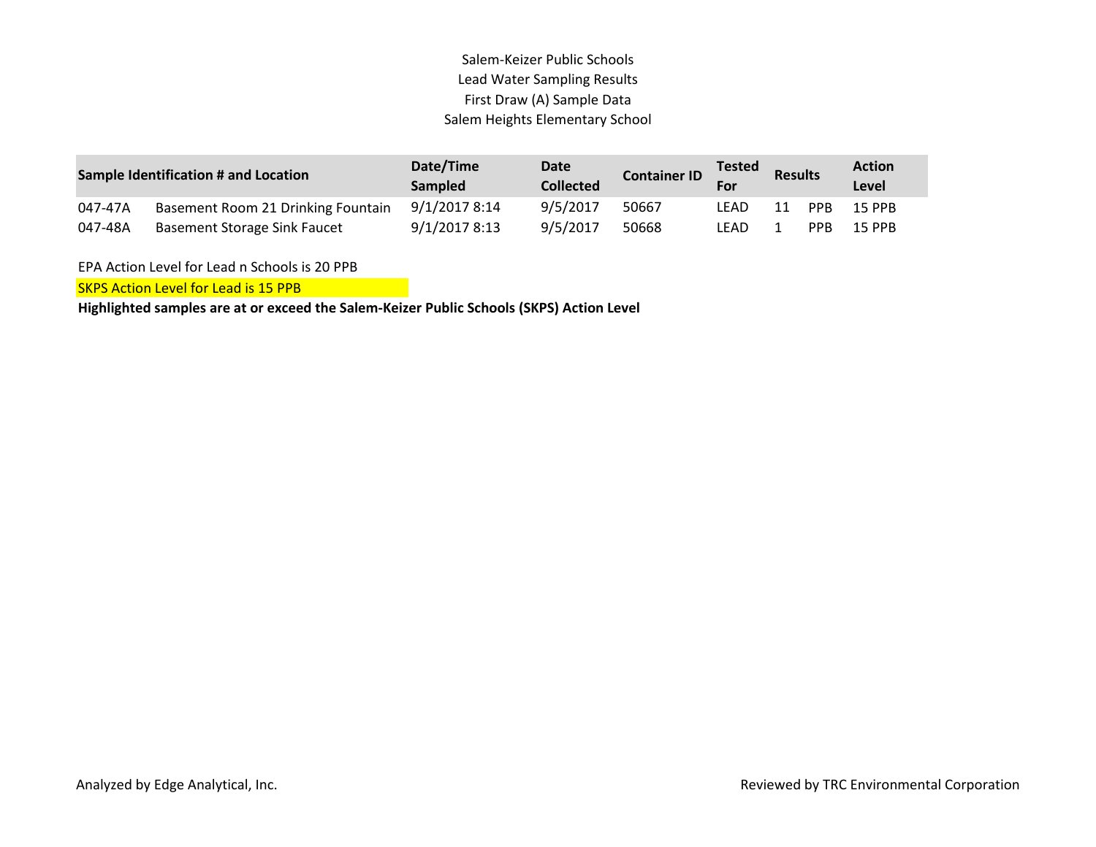## Salem-Keizer Public Schools Lead Water Sampling Results First Draw (A) Sample Data Salem Heights Elementary School

|         | <b>Sample Identification # and Location</b> | Date/Time<br><b>Sampled</b> | Date<br><b>Collected</b> | <b>Container ID</b> | <b>Tested</b><br>For | <b>Results</b> |      | <b>Action</b><br>Level |
|---------|---------------------------------------------|-----------------------------|--------------------------|---------------------|----------------------|----------------|------|------------------------|
| 047-47A | Basement Room 21 Drinking Fountain          | 9/1/2017 8:14               | 9/5/2017                 | 50667               | LEAD                 | 11             | PPB  | 15 PPB                 |
| 047-48A | Basement Storage Sink Faucet                | 9/1/2017 8:13               | 9/5/2017                 | 50668               | LEAD.                |                | PPB. | 15 PPB                 |

EPA Action Level for Lead n Schools is 20 PPB

SKPS Action Level for Lead is 15 PPB